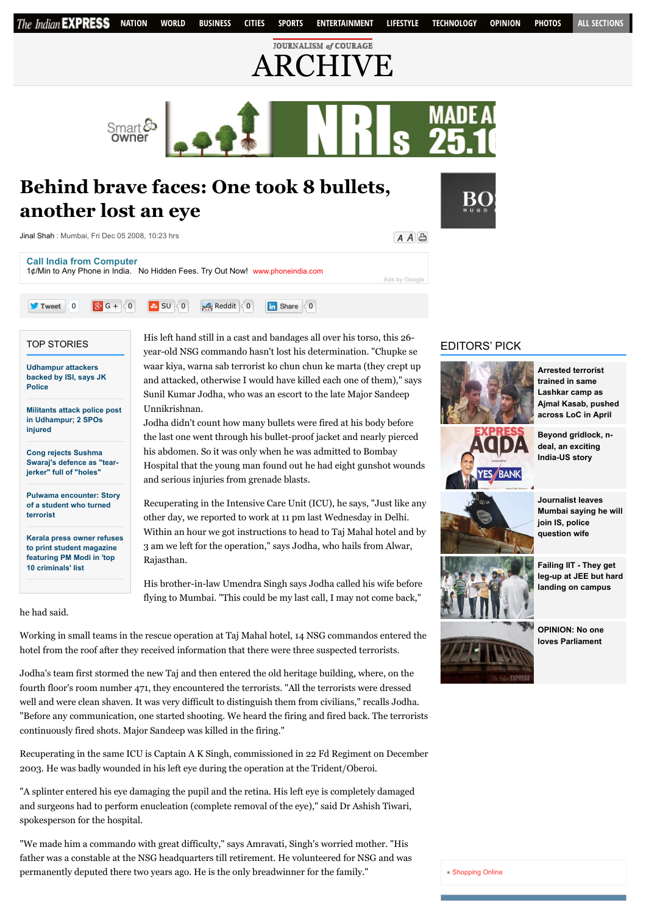

Working in small teams in the rescue operation at Taj Mahal hotel, 14 NSG commandos entered the hotel from the roof after they received information that there were three suspected terrorists.

Jodha's team first stormed the new Taj and then entered the old heritage building, where, on the fourth floor's room number 471, they encountered the terrorists. "All the terrorists were dressed well and were clean shaven. It was very difficult to distinguish them from civilians," recalls Jodha. "Before any communication, one started shooting. We heard the firing and fired back. The terrorists continuously fired shots. Major Sandeep was killed in the firing."

Recuperating in the same ICU is Captain A K Singh, commissioned in 22 Fd Regiment on December 2003. He was badly wounded in his left eye during the operation at the Trident/Oberoi.

"A splinter entered his eye damaging the pupil and the retina. His left eye is completely damaged and surgeons had to perform enucleation (complete removal of the eye)," said Dr Ashish Tiwari, spokesperson for the hospital.

"We made him a commando with great difficulty," says Amravati, Singh's worried mother. "His father was a constable at the NSG headquarters till retirement. He volunteered for NSG and was permanently deputed there two years ago. He is the only breadwinner for the family."

## [Shopping Online](http://www.shoppinglevel.co.uk/)

**[OPINION: No one](http://indianexpress.com/article/opinion/columns/no-one-loves-parliament/)**

**loves Parliament**